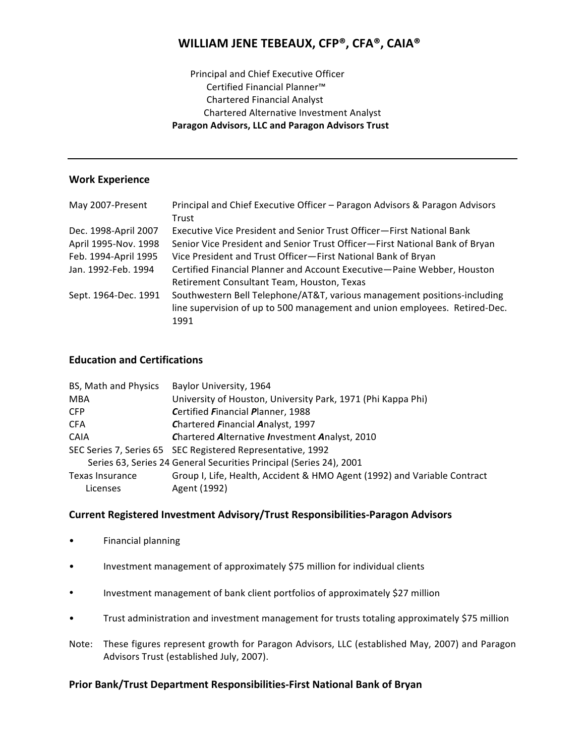# WILLIAM JENE TEBEAUX, CFP®, CFA®, CAIA®

# Principal and Chief Executive Officer Certified Financial Planner<sup>™</sup> **Chartered Financial Analyst Chartered Alternative Investment Analyst** Paragon Advisors, LLC and Paragon Advisors Trust

## **Work Experience**

| May 2007-Present     | Principal and Chief Executive Officer - Paragon Advisors & Paragon Advisors |
|----------------------|-----------------------------------------------------------------------------|
|                      | Trust                                                                       |
| Dec. 1998-April 2007 | Executive Vice President and Senior Trust Officer—First National Bank       |
| April 1995-Nov. 1998 | Senior Vice President and Senior Trust Officer-First National Bank of Bryan |
| Feb. 1994-April 1995 | Vice President and Trust Officer-First National Bank of Bryan               |
| Jan. 1992-Feb. 1994  | Certified Financial Planner and Account Executive-Paine Webber, Houston     |
|                      | Retirement Consultant Team, Houston, Texas                                  |
| Sept. 1964-Dec. 1991 | Southwestern Bell Telephone/AT&T, various management positions-including    |
|                      | line supervision of up to 500 management and union employees. Retired-Dec.  |
|                      | 1991                                                                        |

## **Education and Certifications**

| BS, Math and Physics                                                | Baylor University, 1964                                                  |
|---------------------------------------------------------------------|--------------------------------------------------------------------------|
| <b>MBA</b>                                                          | University of Houston, University Park, 1971 (Phi Kappa Phi)             |
| CFP                                                                 | Certified Financial Planner, 1988                                        |
| <b>CFA</b>                                                          | Chartered Financial Analyst, 1997                                        |
| <b>CAIA</b>                                                         | Chartered Alternative Investment Analyst, 2010                           |
|                                                                     | SEC Series 7, Series 65 SEC Registered Representative, 1992              |
| Series 63, Series 24 General Securities Principal (Series 24), 2001 |                                                                          |
| Texas Insurance                                                     | Group I, Life, Health, Accident & HMO Agent (1992) and Variable Contract |
| Licenses                                                            | Agent (1992)                                                             |

## Current Registered Investment Advisory/Trust Responsibilities-Paragon Advisors

- Financial planning  $\bullet$
- Investment management of approximately \$75 million for individual clients  $\bullet$
- Investment management of bank client portfolios of approximately \$27 million  $\bullet$
- Trust administration and investment management for trusts totaling approximately \$75 million
- Note: These figures represent growth for Paragon Advisors, LLC (established May, 2007) and Paragon Advisors Trust (established July, 2007).

## Prior Bank/Trust Department Responsibilities-First National Bank of Bryan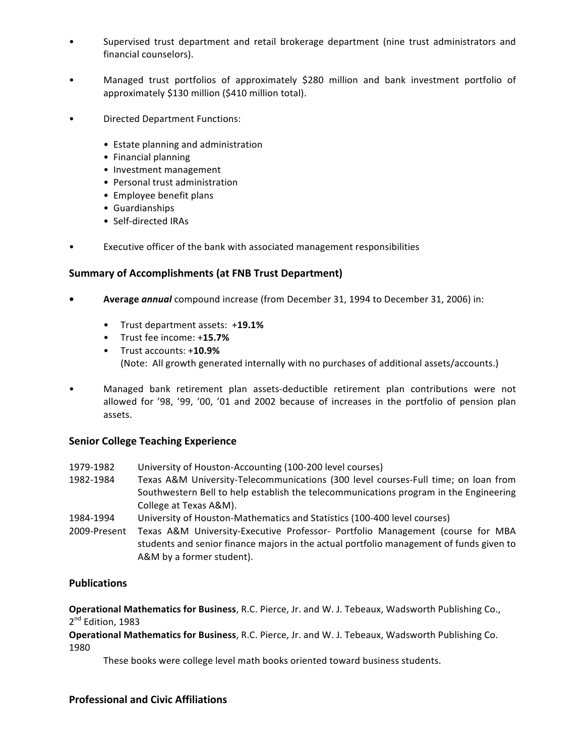- Supervised trust department and retail brokerage department (nine trust administrators and financial counselors).
- Managed trust portfolios of approximately \$280 million and bank investment portfolio of approximately  $$130$  million ( $$410$  million total).
- Directed Department Functions:
	- Estate planning and administration
	- Financial planning
	- Investment management
	- Personal trust administration
	- Employee benefit plans
	- Guardianships
	- Self-directed IRAs
- Executive officer of the bank with associated management responsibilities

#### Summary of Accomplishments (at FNB Trust Department)

- **Average annual** compound increase (from December 31, 1994 to December 31, 2006) in:
	- Trust!department!assets:!!+**19.1%**
	- Trust fee income: +15.7%
	- Trust accounts: +10.9% (Note: All growth generated internally with no purchases of additional assets/accounts.)
- Managed bank retirement plan assets-deductible retirement plan contributions were not allowed for '98, '99, '00, '01 and 2002 because of increases in the portfolio of pension plan assets.

#### **Senior College Teaching Experience**

- 1979-1982 University of Houston-Accounting (100-200 level courses)
- 1982-1984 Texas A&M University-Telecommunications (300 level courses-Full time; on loan from Southwestern Bell to help establish the telecommunications program in the Engineering College at Texas A&M).
- 1984-1994 University of Houston-Mathematics and Statistics (100-400 level courses)
- 2009-Present Texas A&M University-Executive Professor- Portfolio Management (course for MBA students and senior finance majors in the actual portfolio management of funds given to A&M by a former student).

## **Publications**

**Operational Mathematics for Business**, R.C. Pierce, Jr. and W. J. Tebeaux, Wadsworth Publishing Co., 2<sup>nd</sup> Edition, 1983

**Operational Mathematics for Business, R.C. Pierce, Jr. and W. J. Tebeaux, Wadsworth Publishing Co.** 1980

These books were college level math books oriented toward business students.

## **Professional and Civic Affiliations**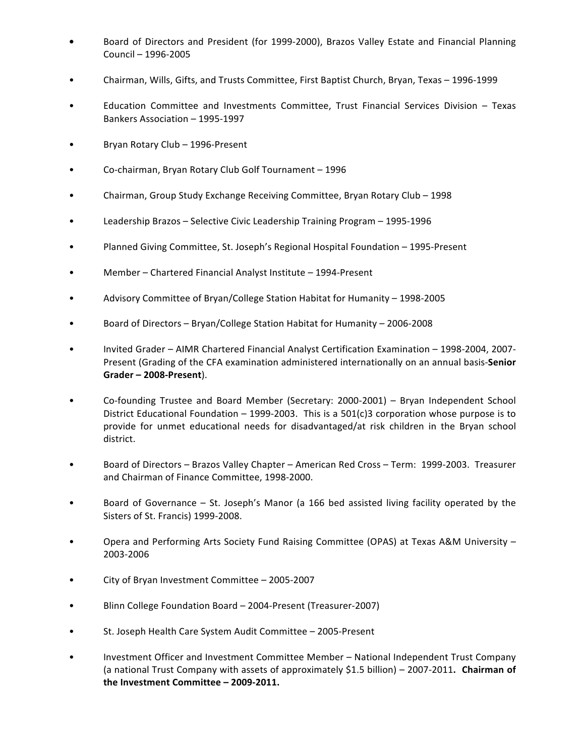- Board of Directors and President (for 1999-2000), Brazos Valley Estate and Financial Planning Council – 1996-2005
- Chairman, Wills, Gifts, and Trusts Committee, First Baptist Church, Bryan, Texas 1996-1999
- Education Committee and Investments Committee, Trust Financial Services Division Texas Bankers Association – 1995-1997
- Bryan Rotary Club 1996-Present
- Co-chairman, Bryan Rotary Club Golf Tournament 1996
- Chairman, Group Study Exchange Receiving Committee, Bryan Rotary Club 1998
- Leadership Brazos Selective Civic Leadership Training Program 1995-1996
- Planned Giving Committee, St. Joseph's Regional Hospital Foundation 1995-Present
- Member Chartered Financial Analyst Institute 1994-Present
- Advisory Committee of Bryan/College Station Habitat for Humanity 1998-2005
- Board of Directors Bryan/College Station Habitat for Humanity 2006-2008
- Invited Grader AIMR Chartered Financial Analyst Certification Examination 1998-2004, 2007-Present (Grading of the CFA examination administered internationally on an annual basis-Senior **Grader - 2008-Present**).
- Co-founding Trustee and Board Member (Secretary: 2000-2001) Bryan Independent School District Educational Foundation – 1999-2003. This is a  $501(c)3$  corporation whose purpose is to provide for unmet educational needs for disadvantaged/at risk children in the Bryan school district.
- Board of Directors Brazos Valley Chapter American Red Cross Term: 1999-2003. Treasurer and Chairman of Finance Committee, 1998-2000.
- Board of Governance St. Joseph's Manor (a 166 bed assisted living facility operated by the Sisters of St. Francis) 1999-2008.
- Opera and Performing Arts Society Fund Raising Committee (OPAS) at Texas A&M University 2003-2006
- City of Bryan Investment Committee 2005-2007
- Blinn College Foundation Board 2004-Present (Treasurer-2007)
- St. Joseph Health Care System Audit Committee 2005-Present
- Investment Officer and Investment Committee Member National Independent Trust Company (a national Trust Company with assets of approximately \$1.5 billion) – 2007-2011. Chairman of the Investment Committee - 2009-2011.